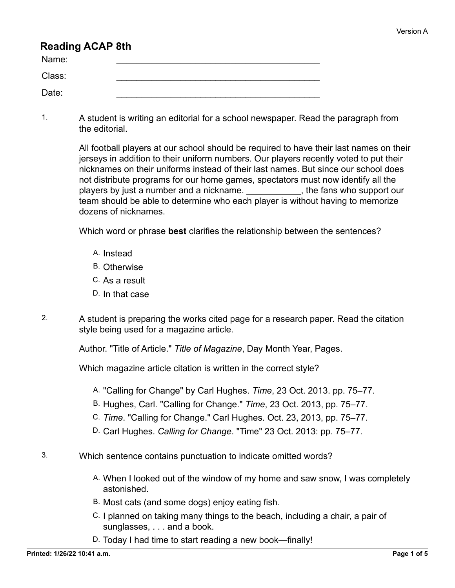## **Reading ACAP 8th**

| Name:  |  |
|--------|--|
| Class: |  |
| Date:  |  |

1. A student is writing an editorial for a school newspaper. Read the paragraph from the editorial.

> All football players at our school should be required to have their last names on their jerseys in addition to their uniform numbers. Our players recently voted to put their nicknames on their uniforms instead of their last names. But since our school does not distribute programs for our home games, spectators must now identify all the players by just a number and a nickname. \_\_\_\_\_\_\_\_\_\_\_, the fans who support our team should be able to determine who each player is without having to memorize dozens of nicknames.

Which word or phrase **best** clarifies the relationship between the sentences?

- A. Instead
- B. Otherwise
- C. As a result
- D. In that case
- 2. A student is preparing the works cited page for a research paper. Read the citation style being used for a magazine article.

Author. "Title of Article." *Title of Magazine*, Day Month Year, Pages.

Which magazine article citation is written in the correct style?

- A. "Calling for Change" by Carl Hughes. *Time*, 23 Oct. 2013. pp. 75–77.
- B. Hughes, Carl. "Calling for Change." *Time*, 23 Oct. 2013, pp. 75–77.
- C. *Time*. "Calling for Change." Carl Hughes. Oct. 23, 2013, pp. 75–77.
- D. Carl Hughes. *Calling for Change*. "Time" 23 Oct. 2013: pp. 75–77.
- 3. Which sentence contains punctuation to indicate omitted words?
	- A. When I looked out of the window of my home and saw snow, I was completely astonished.
	- B. Most cats (and some dogs) enjoy eating fish.
	- C. I planned on taking many things to the beach, including a chair, a pair of sunglasses, . . . and a book.
	- D. Today I had time to start reading a new book—finally!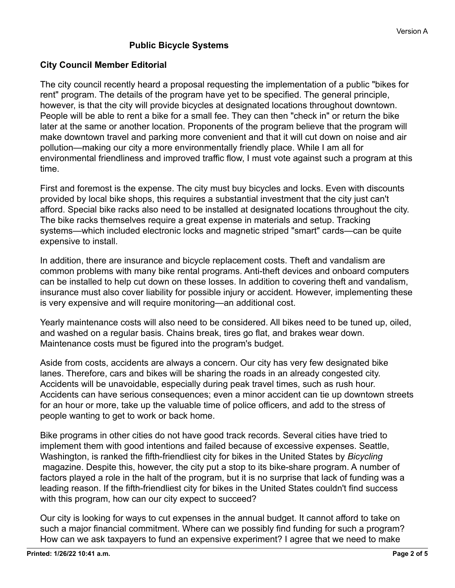## **Public Bicycle Systems**

## **City Council Member Editorial**

The city council recently heard a proposal requesting the implementation of a public "bikes for rent" program. The details of the program have yet to be specified. The general principle, however, is that the city will provide bicycles at designated locations throughout downtown. People will be able to rent a bike for a small fee. They can then "check in" or return the bike later at the same or another location. Proponents of the program believe that the program will make downtown travel and parking more convenient and that it will cut down on noise and air pollution—making our city a more environmentally friendly place. While I am all for environmental friendliness and improved traffic flow, I must vote against such a program at this time.

First and foremost is the expense. The city must buy bicycles and locks. Even with discounts provided by local bike shops, this requires a substantial investment that the city just can't afford. Special bike racks also need to be installed at designated locations throughout the city. The bike racks themselves require a great expense in materials and setup. Tracking systems—which included electronic locks and magnetic striped "smart" cards—can be quite expensive to install.

In addition, there are insurance and bicycle replacement costs. Theft and vandalism are common problems with many bike rental programs. Anti-theft devices and onboard computers can be installed to help cut down on these losses. In addition to covering theft and vandalism, insurance must also cover liability for possible injury or accident. However, implementing these is very expensive and will require monitoring—an additional cost.

Yearly maintenance costs will also need to be considered. All bikes need to be tuned up, oiled, and washed on a regular basis. Chains break, tires go flat, and brakes wear down. Maintenance costs must be figured into the program's budget.

Aside from costs, accidents are always a concern. Our city has very few designated bike lanes. Therefore, cars and bikes will be sharing the roads in an already congested city. Accidents will be unavoidable, especially during peak travel times, such as rush hour. Accidents can have serious consequences; even a minor accident can tie up downtown streets for an hour or more, take up the valuable time of police officers, and add to the stress of people wanting to get to work or back home.

Bike programs in other cities do not have good track records. Several cities have tried to implement them with good intentions and failed because of excessive expenses. Seattle, Washington, is ranked the fifth-friendliest city for bikes in the United States by *Bicycling* magazine. Despite this, however, the city put a stop to its bike-share program. A number of factors played a role in the halt of the program, but it is no surprise that lack of funding was a leading reason. If the fifth-friendliest city for bikes in the United States couldn't find success with this program, how can our city expect to succeed?

Our city is looking for ways to cut expenses in the annual budget. It cannot afford to take on such a major financial commitment. Where can we possibly find funding for such a program? How can we ask taxpayers to fund an expensive experiment? I agree that we need to make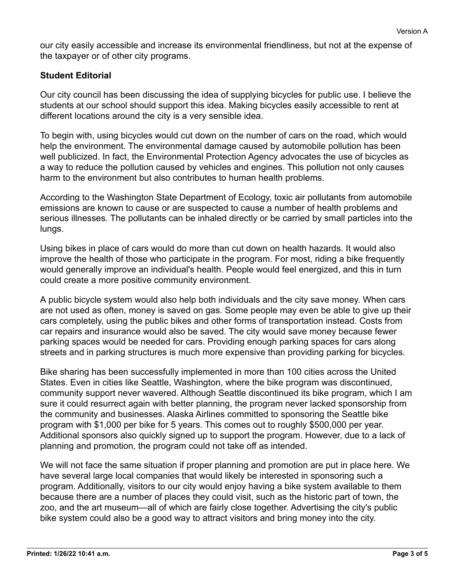our city easily accessible and increase its environmental friendliness, but not at the expense of the taxpayer or of other city programs.

## **Student Editorial**

Our city council has been discussing the idea of supplying bicycles for public use. I believe the students at our school should support this idea. Making bicycles easily accessible to rent at different locations around the city is a very sensible idea.

To begin with, using bicycles would cut down on the number of cars on the road, which would help the environment. The environmental damage caused by automobile pollution has been well publicized. In fact, the Environmental Protection Agency advocates the use of bicycles as a way to reduce the pollution caused by vehicles and engines. This pollution not only causes harm to the environment but also contributes to human health problems.

According to the Washington State Department of Ecology, toxic air pollutants from automobile emissions are known to cause or are suspected to cause a number of health problems and serious illnesses. The pollutants can be inhaled directly or be carried by small particles into the lungs.

Using bikes in place of cars would do more than cut down on health hazards. It would also improve the health of those who participate in the program. For most, riding a bike frequently would generally improve an individual's health. People would feel energized, and this in turn could create a more positive community environment.

A public bicycle system would also help both individuals and the city save money. When cars are not used as often, money is saved on gas. Some people may even be able to give up their cars completely, using the public bikes and other forms of transportation instead. Costs from car repairs and insurance would also be saved. The city would save money because fewer parking spaces would be needed for cars. Providing enough parking spaces for cars along streets and in parking structures is much more expensive than providing parking for bicycles.

Bike sharing has been successfully implemented in more than 100 cities across the United States. Even in cities like Seattle, Washington, where the bike program was discontinued, community support never wavered. Although Seattle discontinued its bike program, which I am sure it could resurrect again with better planning, the program never lacked sponsorship from the community and businesses. Alaska Airlines committed to sponsoring the Seattle bike program with \$1,000 per bike for 5 years. This comes out to roughly \$500,000 per year. Additional sponsors also quickly signed up to support the program. However, due to a lack of planning and promotion, the program could not take off as intended.

We will not face the same situation if proper planning and promotion are put in place here. We have several large local companies that would likely be interested in sponsoring such a program. Additionally, visitors to our city would enjoy having a bike system available to them because there are a number of places they could visit, such as the historic part of town, the zoo, and the art museum—all of which are fairly close together. Advertising the city's public bike system could also be a good way to attract visitors and bring money into the city.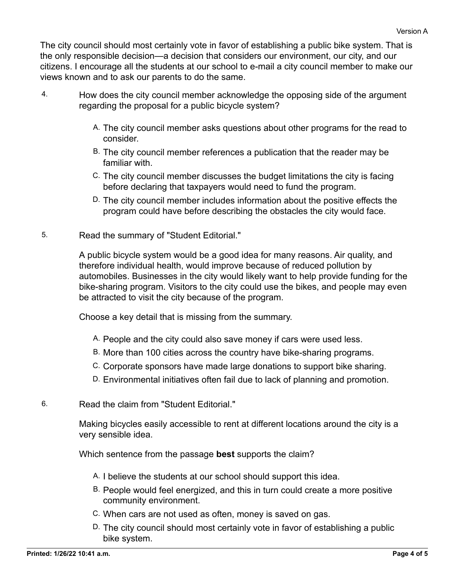The city council should most certainly vote in favor of establishing a public bike system. That is the only responsible decision—a decision that considers our environment, our city, and our citizens. I encourage all the students at our school to e-mail a city council member to make our views known and to ask our parents to do the same.

- 4. How does the city council member acknowledge the opposing side of the argument regarding the proposal for a public bicycle system?
	- A. The city council member asks questions about other programs for the read to consider.
	- B. The city council member references a publication that the reader may be familiar with.
	- C. The city council member discusses the budget limitations the city is facing before declaring that taxpayers would need to fund the program.
	- D. The city council member includes information about the positive effects the program could have before describing the obstacles the city would face.
- 5. Read the summary of "Student Editorial."

A public bicycle system would be a good idea for many reasons. Air quality, and therefore individual health, would improve because of reduced pollution by automobiles. Businesses in the city would likely want to help provide funding for the bike-sharing program. Visitors to the city could use the bikes, and people may even be attracted to visit the city because of the program.

Choose a key detail that is missing from the summary.

- A. People and the city could also save money if cars were used less.
- B. More than 100 cities across the country have bike-sharing programs.
- C. Corporate sponsors have made large donations to support bike sharing.
- D. Environmental initiatives often fail due to lack of planning and promotion.
- 6. Read the claim from "Student Editorial."

Making bicycles easily accessible to rent at different locations around the city is a very sensible idea.

Which sentence from the passage **best** supports the claim?

- A. I believe the students at our school should support this idea.
- B. People would feel energized, and this in turn could create a more positive community environment.
- C. When cars are not used as often, money is saved on gas.
- D. The city council should most certainly vote in favor of establishing a public bike system.